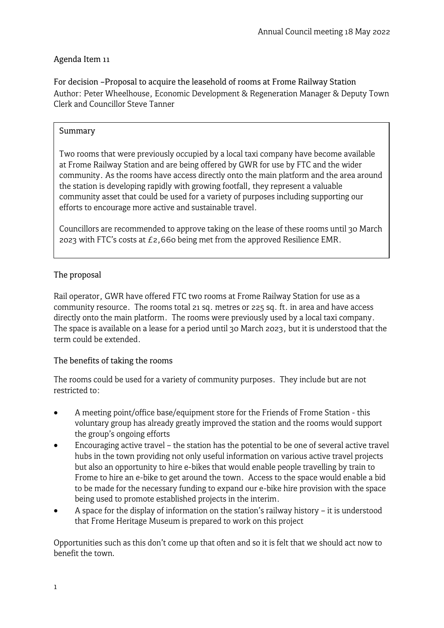# Agenda Item 11

For decision –Proposal to acquire the leasehold of rooms at Frome Railway Station Author: Peter Wheelhouse, Economic Development & Regeneration Manager & Deputy Town Clerk and Councillor Steve Tanner

## Summary

Two rooms that were previously occupied by a local taxi company have become available at Frome Railway Station and are being offered by GWR for use by FTC and the wider community. As the rooms have access directly onto the main platform and the area around the station is developing rapidly with growing footfall, they represent a valuable community asset that could be used for a variety of purposes including supporting our efforts to encourage more active and sustainable travel.

Councillors are recommended to approve taking on the lease of these rooms until 30 March 2023 with FTC's costs at  $E_2$ ,660 being met from the approved Resilience EMR.

# The proposal

Rail operator, GWR have offered FTC two rooms at Frome Railway Station for use as a community resource. The rooms total 21 sq. metres or 225 sq. ft. in area and have access directly onto the main platform. The rooms were previously used by a local taxi company. The space is available on a lease for a period until 30 March 2023, but it is understood that the term could be extended.

## The benefits of taking the rooms

The rooms could be used for a variety of community purposes. They include but are not restricted to:

- A meeting point/office base/equipment store for the Friends of Frome Station this voluntary group has already greatly improved the station and the rooms would support the group's ongoing efforts
- Encouraging active travel the station has the potential to be one of several active travel hubs in the town providing not only useful information on various active travel projects but also an opportunity to hire e-bikes that would enable people travelling by train to Frome to hire an e-bike to get around the town. Access to the space would enable a bid to be made for the necessary funding to expand our e-bike hire provision with the space being used to promote established projects in the interim.
- A space for the display of information on the station's railway history it is understood that Frome Heritage Museum is prepared to work on this project

Opportunities such as this don't come up that often and so it is felt that we should act now to benefit the town.